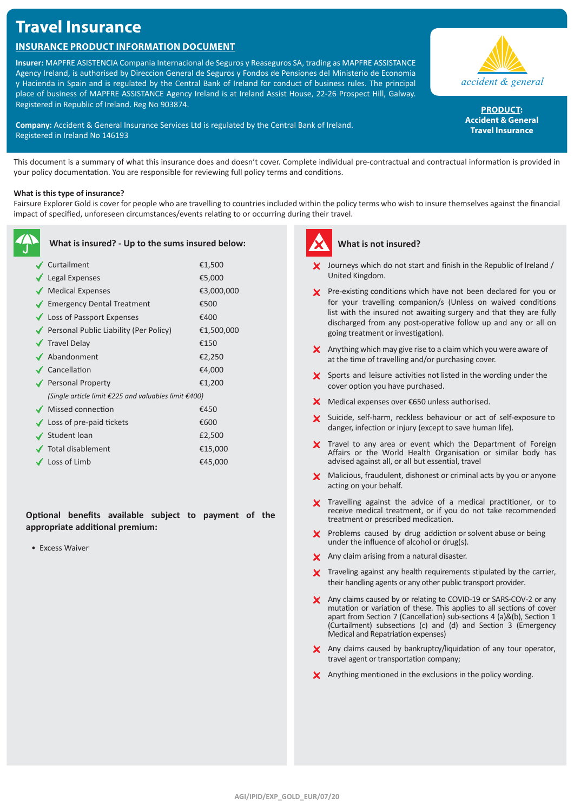# **Travel Insurance**

# **Insurance Product Information Document**

**Insurer:** MAPFRE ASISTENCIA Compania Internacional de Seguros y Reaseguros SA, trading as MAPFRE ASSISTANCE Agency Ireland, is authorised by Direccion General de Seguros y Fondos de Pensiones del Ministerio de Economia y Hacienda in Spain and is regulated by the Central Bank of Ireland for conduct of business rules. The principal place of business of MAPFRE ASSISTANCE Agency Ireland is at Ireland Assist House, 22-26 Prospect Hill, Galway. Registered in Republic of Ireland. Reg No 903874.

**Company:** Accident & General Insurance Services Ltd is regulated by the Central Bank of Ireland. Registered in Ireland No 146193



PRODUCT: **Accident & General Travel Insurance**

This document is a summary of what this insurance does and doesn't cover. Complete individual pre-contractual and contractual information is provided in your policy documentation. You are responsible for reviewing full policy terms and conditions.

### **What is this type of insurance?**

Fairsure Explorer Gold is cover for people who are travelling to countries included within the policy terms who wish to insure themselves against the financial impact of specified, unforeseen circumstances/events relating to or occurring during their travel.

| What is insured? - Up to the sums insured below:     |            |
|------------------------------------------------------|------------|
| ✔ Curtailment                                        | €1,500     |
| $\sqrt{\phantom{a}}$ Legal Expenses                  | €5,000     |
| Medical Expenses                                     | €3,000,000 |
| ◆ Emergency Dental Treatment                         | €500       |
| ◆ Loss of Passport Expenses                          | €400       |
| ◆ Personal Public Liability (Per Policy)             | €1,500,000 |
| $\sqrt{\phantom{a}}$ Travel Delay                    | €150       |
| ✔ Abandonment                                        | €2,250     |
| ✔ Cancellation                                       | €4,000     |
| Personal Property                                    | €1,200     |
| (Single article limit €225 and valuables limit €400) |            |
| ◆ Missed connection                                  | €450       |
| $\checkmark$ Loss of pre-paid tickets                | €600       |
| $\checkmark$ Student loan                            | £2,500     |
| Total disablement                                    | €15,000    |
| $\checkmark$ Loss of Limb                            | €45,000    |

**Optional benefits available subject to payment of the appropriate additional premium:**

• Excess Waiver



# **What is not insured?**

- Journeys which do not start and finish in the Republic of Ireland / United Kingdom.
- **X** Pre-existing conditions which have not been declared for you or for your travelling companion/s (Unless on waived conditions list with the insured not awaiting surgery and that they are fully discharged from any post-operative follow up and any or all on going treatment or investigation).
- $\boldsymbol{\times}$  Anything which may give rise to a claim which you were aware of at the time of travelling and/or purchasing cover.
- $\boldsymbol{\times}$  Sports and leisure activities not listed in the wording under the cover option you have purchased.
- X Medical expenses over €650 unless authorised.
- X Suicide, self-harm, reckless behaviour or act of self-exposure to danger, infection or injury (except to save human life).
- X Travel to any area or event which the Department of Foreign Affairs or the World Health Organisation or similar body has advised against all, or all but essential, travel
- X Malicious, fraudulent, dishonest or criminal acts by you or anyone acting on your behalf.
- X Travelling against the advice of a medical practitioner, or to receive medical treatment, or if you do not take recommended treatment or prescribed medication.
- $\times$  Problems caused by drug addiction or solvent abuse or being under the influence of alcohol or drug(s).
- X Any claim arising from a natural disaster.
- X Traveling against any health requirements stipulated by the carrier, their handling agents or any other public transport provider.
- X Any claims caused by or relating to COVID-19 or SARS-COV-2 or any mutation or variation of these. This applies to all sections of cover apart from Section 7 (Cancellation) sub-sections 4 (a)&(b), Section 1 (Curtailment) subsections (c) and (d) and Section 3 (Emergency Medical and Repatriation expenses)
- Any claims caused by bankruptcy/liquidation of any tour operator, travel agent or transportation company;
- $\times$  Anything mentioned in the exclusions in the policy wording.